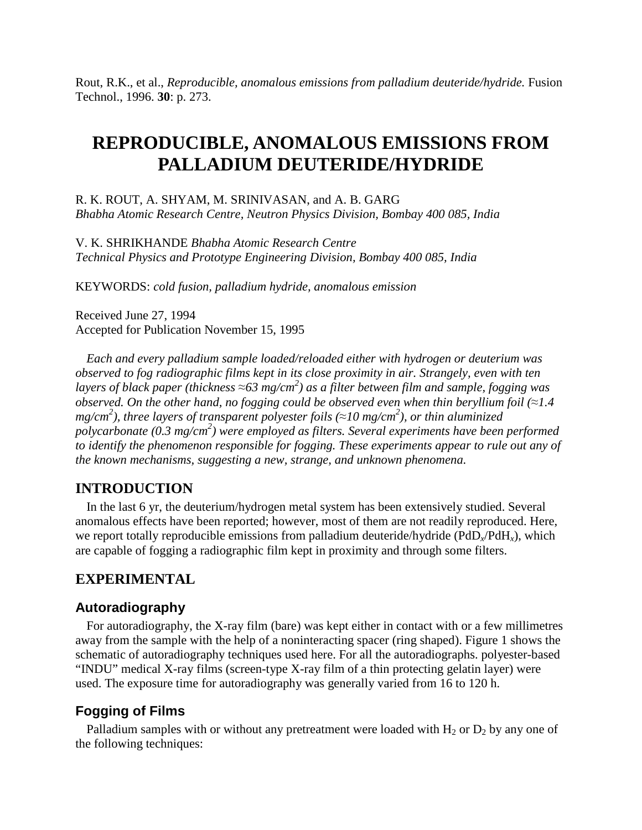Rout, R.K., et al., *Reproducible, anomalous emissions from palladium deuteride/hydride.* Fusion Technol., 1996. **30**: p. 273.

# **REPRODUCIBLE, ANOMALOUS EMISSIONS FROM PALLADIUM DEUTERIDE/HYDRIDE**

R. K. ROUT, A. SHYAM, M. SRINIVASAN, and A. B. GARG *Bhabha Atomic Research Centre, Neutron Physics Division, Bombay 400 085, India*

V. K. SHRIKHANDE *Bhabha Atomic Research Centre Technical Physics and Prototype Engineering Division, Bombay 400 085, India*

KEYWORDS: *cold fusion, palladium hydride, anomalous emission*

Received June 27, 1994 Accepted for Publication November 15, 1995

*Each and every palladium sample loaded/reloaded either with hydrogen or deuterium was observed to fog radiographic films kept in its close proximity in air. Strangely, even with ten layers of black paper (thickness ≈63 mg/cm 2 ) as a filter between film and sample, fogging was observed. On the other hand, no fogging could be observed even when thin beryllium foil (≈1.4 mg/cm 2 ), three layers of transparent polyester foils (≈10 mg/cm 2 ), or thin aluminized polycarbonate (0.3 mg/cm<sup>2</sup> ) were employed as filters. Several experiments have been performed to identify the phenomenon responsible for fogging. These experiments appear to rule out any of the known mechanisms, suggesting a new, strange, and unknown phenomena.*

# **INTRODUCTION**

In the last 6 yr, the deuterium/hydrogen metal system has been extensively studied. Several anomalous effects have been reported; however, most of them are not readily reproduced. Here, we report totally reproducible emissions from palladium deuteride/hydride (PdD*x*/PdH*x*), which are capable of fogging a radiographic film kept in proximity and through some filters.

## **EXPERIMENTAL**

## **Autoradiography**

For autoradiography, the X-ray film (bare) was kept either in contact with or a few millimetres away from the sample with the help of a noninteracting spacer (ring shaped). Figure 1 shows the schematic of autoradiography techniques used here. For all the autoradiographs. polyester-based "INDU" medical X-ray films (screen-type X-ray film of a thin protecting gelatin layer) were used. The exposure time for autoradiography was generally varied from 16 to 120 h.

## **Fogging of Films**

Palladium samples with or without any pretreatment were loaded with  $H_2$  or  $D_2$  by any one of the following techniques: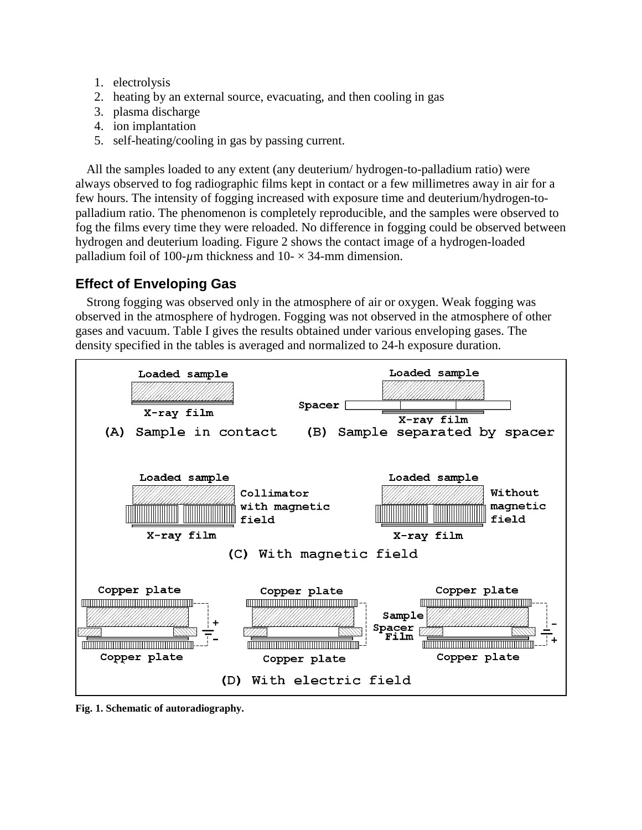- 1. electrolysis
- 2. heating by an external source, evacuating, and then cooling in gas
- 3. plasma discharge
- 4. ion implantation
- 5. self-heating/cooling in gas by passing current.

All the samples loaded to any extent (any deuterium/ hydrogen-to-palladium ratio) were always observed to fog radiographic films kept in contact or a few millimetres away in air for a few hours. The intensity of fogging increased with exposure time and deuterium/hydrogen-topalladium ratio. The phenomenon is completely reproducible, and the samples were observed to fog the films every time they were reloaded. No difference in fogging could be observed between hydrogen and deuterium loading. Figure 2 shows the contact image of a hydrogen-loaded palladium foil of 100- $\mu$ m thickness and 10- $\times$ 34-mm dimension.

# **Effect of Enveloping Gas**

Strong fogging was observed only in the atmosphere of air or oxygen. Weak fogging was observed in the atmosphere of hydrogen. Fogging was not observed in the atmosphere of other gases and vacuum. Table I gives the results obtained under various enveloping gases. The density specified in the tables is averaged and normalized to 24-h exposure duration.



**Fig. 1. Schematic of autoradiography.**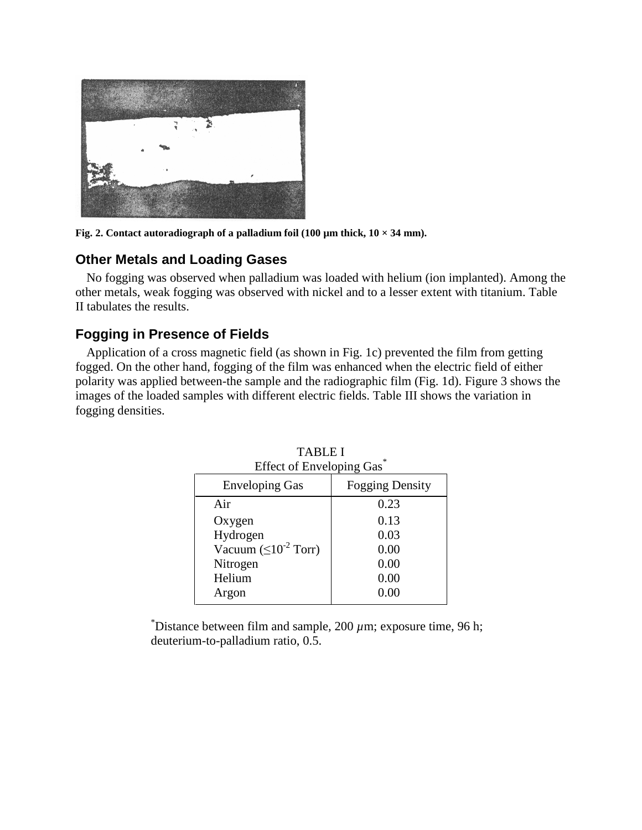

Fig. 2. Contact autoradiograph of a palladium foil  $(100 \mu m)$  thick,  $10 \times 34 \mu m$ ).

### **Other Metals and Loading Gases**

No fogging was observed when palladium was loaded with helium (ion implanted). Among the other metals, weak fogging was observed with nickel and to a lesser extent with titanium. Table II tabulates the results.

## **Fogging in Presence of Fields**

Application of a cross magnetic field (as shown in Fig. 1c) prevented the film from getting fogged. On the other hand, fogging of the film was enhanced when the electric field of either polarity was applied between-the sample and the radiographic film (Fig. 1d). Figure 3 shows the images of the loaded samples with different electric fields. Table III shows the variation in fogging densities.

| LITULUI LIIVUUPIII QAS       |                        |  |  |
|------------------------------|------------------------|--|--|
| <b>Enveloping Gas</b>        | <b>Fogging Density</b> |  |  |
| Air                          | 0.23                   |  |  |
| Oxygen                       | 0.13                   |  |  |
| Hydrogen                     | 0.03                   |  |  |
| Vacuum $(\leq 10^{-2}$ Torr) | 0.00                   |  |  |
| Nitrogen                     | 0.00                   |  |  |
| Helium                       | 0.00                   |  |  |
| Argon                        | 0.00                   |  |  |

TABLE I Effect of Enveloping  $\overline{\text{Gac}}^*$ 

 $\overline{P}$  Distance between film and sample, 200  $\mu$ m; exposure time, 96 h; deuterium-to-palladium ratio, 0.5.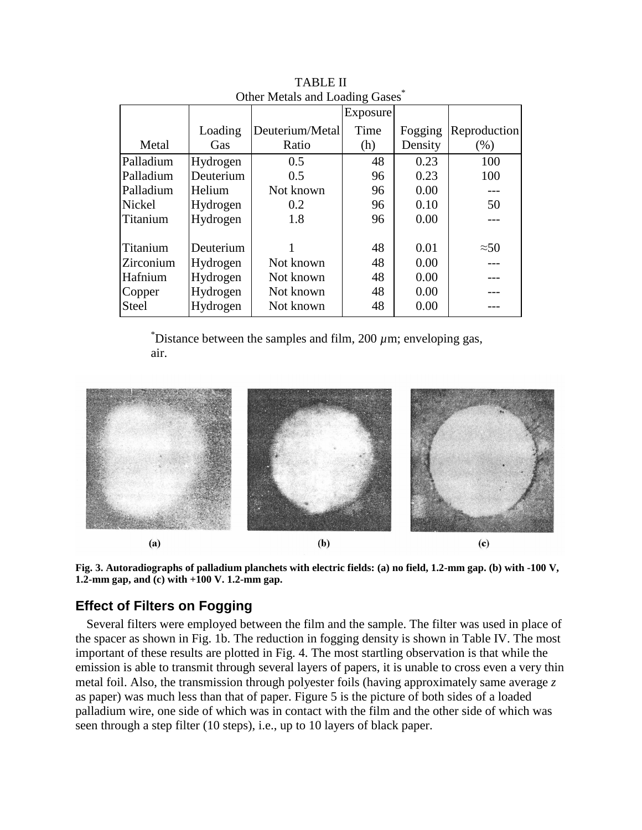| Other Metals and Loading Gases |           |                 |          |         |              |
|--------------------------------|-----------|-----------------|----------|---------|--------------|
|                                |           |                 | Exposure |         |              |
|                                | Loading   | Deuterium/Metal | Time     | Fogging | Reproduction |
| Metal                          | Gas       | Ratio           | (h)      | Density | (% )         |
| Palladium                      | Hydrogen  | 0.5             | 48       | 0.23    | 100          |
| Palladium                      | Deuterium | 0.5             | 96       | 0.23    | 100          |
| Palladium                      | Helium    | Not known       | 96       | 0.00    |              |
| Nickel                         | Hydrogen  | 0.2             | 96       | 0.10    | 50           |
| Titanium                       | Hydrogen  | 1.8             | 96       | 0.00    |              |
|                                |           |                 |          |         |              |
| Titanium                       | Deuterium |                 | 48       | 0.01    | $\approx 50$ |
| Zirconium                      | Hydrogen  | Not known       | 48       | 0.00    |              |
| Hafnium                        | Hydrogen  | Not known       | 48       | 0.00    |              |
| Copper                         | Hydrogen  | Not known       | 48       | 0.00    |              |
| <b>Steel</b>                   | Hydrogen  | Not known       | 48       | 0.00    |              |

TABLE II Other Metals and Loading Gases<sup>\*</sup>

 $\overline{D}$  Distance between the samples and film, 200  $\mu$ m; enveloping gas, air.



**Fig. 3. Autoradiographs of palladium planchets with electric fields: (a) no field, 1.2-mm gap. (b) with -100 V, 1.2-mm gap, and (c) with +100 V. 1.2-mm gap.**

# **Effect of Filters on Fogging**

Several filters were employed between the film and the sample. The filter was used in place of the spacer as shown in Fig. 1b. The reduction in fogging density is shown in Table IV. The most important of these results are plotted in Fig. 4. The most startling observation is that while the emission is able to transmit through several layers of papers, it is unable to cross even a very thin metal foil. Also, the transmission through polyester foils (having approximately same average *z* as paper) was much less than that of paper. Figure 5 is the picture of both sides of a loaded palladium wire, one side of which was in contact with the film and the other side of which was seen through a step filter (10 steps), i.e., up to 10 layers of black paper.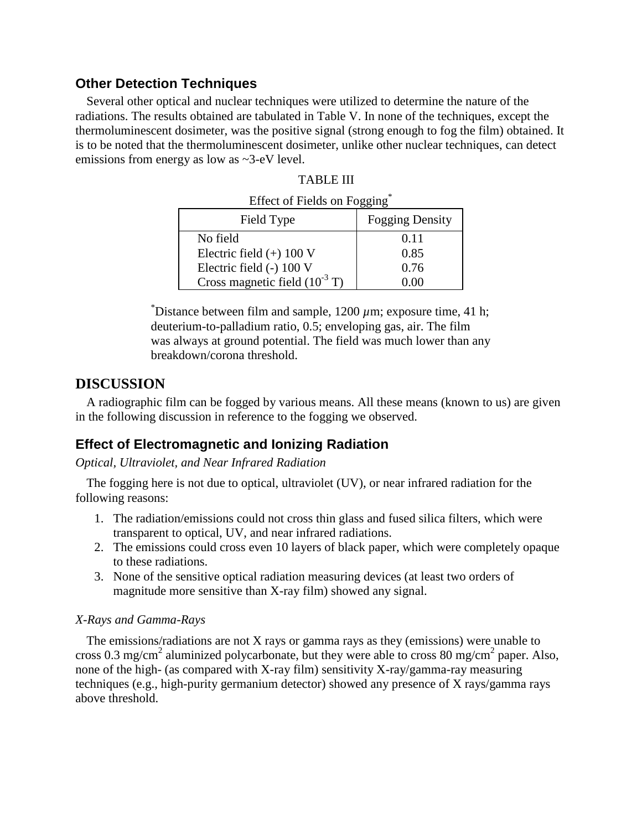# **Other Detection Techniques**

Several other optical and nuclear techniques were utilized to determine the nature of the radiations. The results obtained are tabulated in Table V. In none of the techniques, except the thermoluminescent dosimeter, was the positive signal (strong enough to fog the film) obtained. It is to be noted that the thermoluminescent dosimeter, unlike other nuclear techniques, can detect emissions from energy as low as ~3-eV level.

| LITULUI TIURIS UII TUEEME |                                            |                        |  |  |
|---------------------------|--------------------------------------------|------------------------|--|--|
| Field Type                |                                            | <b>Fogging Density</b> |  |  |
|                           | No field                                   | 0.11                   |  |  |
|                           | Electric field $(+)$ 100 V                 | 0.85                   |  |  |
|                           | Electric field (-) 100 V                   | 0.76                   |  |  |
|                           | Cross magnetic field $(10^{-3} \text{ T})$ | 0 OO                   |  |  |

| TABLE I |  |
|---------|--|
|---------|--|

 $Effect of Fialde on Eogging^*$ 

 $\overline{P}$  Distance between film and sample, 1200  $\mu$ m; exposure time, 41 h; deuterium-to-palladium ratio, 0.5; enveloping gas, air. The film was always at ground potential. The field was much lower than any breakdown/corona threshold.

# **DISCUSSION**

A radiographic film can be fogged by various means. All these means (known to us) are given in the following discussion in reference to the fogging we observed.

# **Effect of Electromagnetic and Ionizing Radiation**

### *Optical, Ultraviolet, and Near Infrared Radiation*

The fogging here is not due to optical, ultraviolet (UV), or near infrared radiation for the following reasons:

- 1. The radiation/emissions could not cross thin glass and fused silica filters, which were transparent to optical, UV, and near infrared radiations.
- 2. The emissions could cross even 10 layers of black paper, which were completely opaque to these radiations.
- 3. None of the sensitive optical radiation measuring devices (at least two orders of magnitude more sensitive than X-ray film) showed any signal.

### *X-Rays and Gamma-Rays*

The emissions/radiations are not X rays or gamma rays as they (emissions) were unable to cross 0.3 mg/cm<sup>2</sup> aluminized polycarbonate, but they were able to cross 80 mg/cm<sup>2</sup> paper. Also, none of the high- (as compared with X-ray film) sensitivity X-ray/gamma-ray measuring techniques (e.g., high-purity germanium detector) showed any presence of X rays/gamma rays above threshold.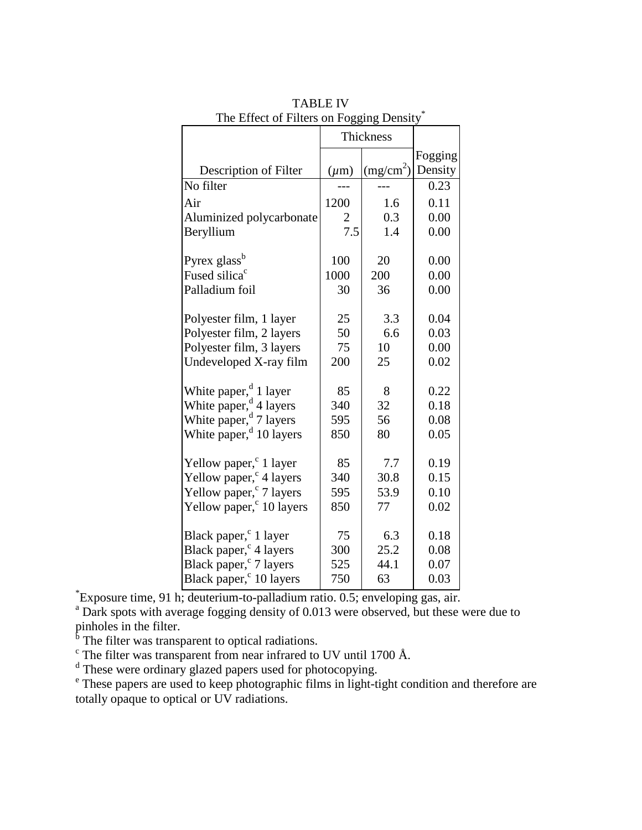|                                      | Thickness |                       |         |
|--------------------------------------|-----------|-----------------------|---------|
|                                      |           |                       | Fogging |
| Description of Filter                | $(\mu m)$ | (mg/cm <sup>2</sup> ) | Density |
| No filter                            |           |                       | 0.23    |
| Air                                  | 1200      | 1.6                   | 0.11    |
| Aluminized polycarbonate             | 2         | 0.3                   | 0.00    |
| Beryllium                            | 7.5       | 1.4                   | 0.00    |
| Pyrex glass <sup>b</sup>             | 100       | 20                    | 0.00    |
| Fused silica <sup>c</sup>            | 1000      | 200                   | 0.00    |
| Palladium foil                       | 30        | 36                    | 0.00    |
|                                      |           |                       |         |
| Polyester film, 1 layer              | 25        | 3.3                   | 0.04    |
| Polyester film, 2 layers             | 50        | 6.6                   | 0.03    |
| Polyester film, 3 layers             | 75        | 10                    | 0.00    |
| Undeveloped X-ray film               | 200       | 25                    | 0.02    |
| White paper, $d$ 1 layer             | 85        | 8                     | 0.22    |
| White paper, <sup>d</sup> 4 layers   | 340       | 32                    | 0.18    |
| White paper, <sup>d</sup> 7 layers   | 595       | 56                    | 0.08    |
| White paper, <sup>d</sup> 10 layers  | 850       | 80                    | 0.05    |
| Yellow paper, <sup>c</sup> 1 layer   | 85        | 7.7                   | 0.19    |
| Yellow paper, <sup>c</sup> 4 layers  | 340       | 30.8                  | 0.15    |
| Yellow paper, <sup>c</sup> 7 layers  | 595       | 53.9                  | 0.10    |
| Yellow paper, <sup>c</sup> 10 layers | 850       | 77                    | 0.02    |
|                                      |           |                       |         |
| Black paper, <sup>c</sup> 1 layer    | 75        | 6.3                   | 0.18    |
| Black paper, <sup>c</sup> 4 layers   | 300       | 25.2                  | 0.08    |
| Black paper, <sup>c</sup> 7 layers   | 525       | 44.1                  | 0.07    |
| Black paper, <sup>c</sup> 10 layers  | 750       | 63                    | 0.03    |

TABLE IV The Effect of Filters on Fogging Density\*

\* Exposure time, 91 h; deuterium-to-palladium ratio. 0.5; enveloping gas, air.

<sup>a</sup> Dark spots with average fogging density of 0.013 were observed, but these were due to

pinholes in the filter.<br><sup>b</sup> The filter was transparent to optical radiations.

 $\alpha$ <sup>c</sup> The filter was transparent from near infrared to UV until 1700 Å.

<sup>d</sup> These were ordinary glazed papers used for photocopying.

<sup>e</sup> These papers are used to keep photographic films in light-tight condition and therefore are totally opaque to optical or UV radiations.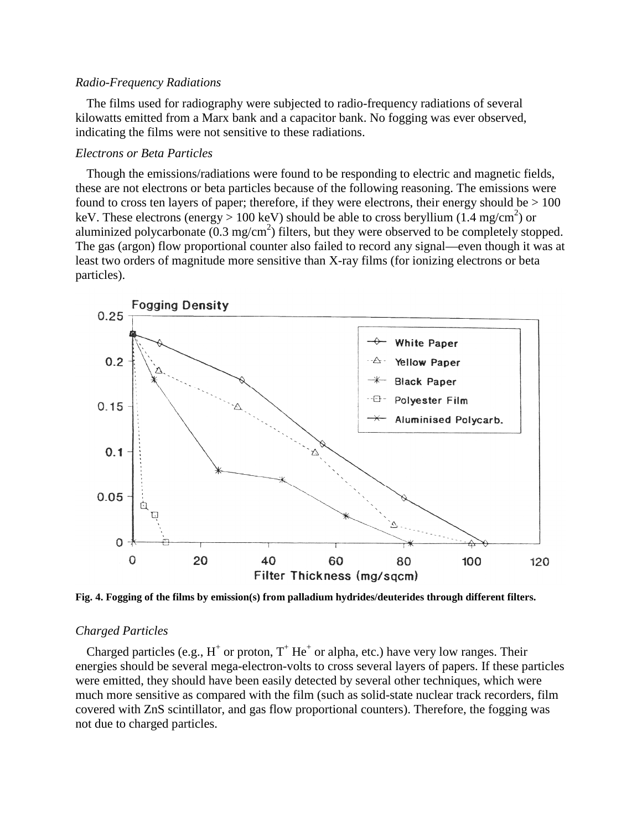#### *Radio-Frequency Radiations*

The films used for radiography were subjected to radio-frequency radiations of several kilowatts emitted from a Marx bank and a capacitor bank. No fogging was ever observed, indicating the films were not sensitive to these radiations.

#### *Electrons or Beta Particles*

Though the emissions/radiations were found to be responding to electric and magnetic fields, these are not electrons or beta particles because of the following reasoning. The emissions were found to cross ten layers of paper; therefore, if they were electrons, their energy should be  $> 100$ keV. These electrons (energy > 100 keV) should be able to cross beryllium (1.4 mg/cm<sup>2</sup>) or aluminized polycarbonate  $(0.3 \text{ mg/cm}^2)$  filters, but they were observed to be completely stopped. The gas (argon) flow proportional counter also failed to record any signal—even though it was at least two orders of magnitude more sensitive than X-ray films (for ionizing electrons or beta particles).



**Fig. 4. Fogging of the films by emission(s) from palladium hydrides/deuterides through different filters.**

#### *Charged Particles*

Charged particles (e.g.,  $H^+$  or proton,  $T^+$  He<sup>+</sup> or alpha, etc.) have very low ranges. Their energies should be several mega-electron-volts to cross several layers of papers. If these particles were emitted, they should have been easily detected by several other techniques, which were much more sensitive as compared with the film (such as solid-state nuclear track recorders, film covered with ZnS scintillator, and gas flow proportional counters). Therefore, the fogging was not due to charged particles.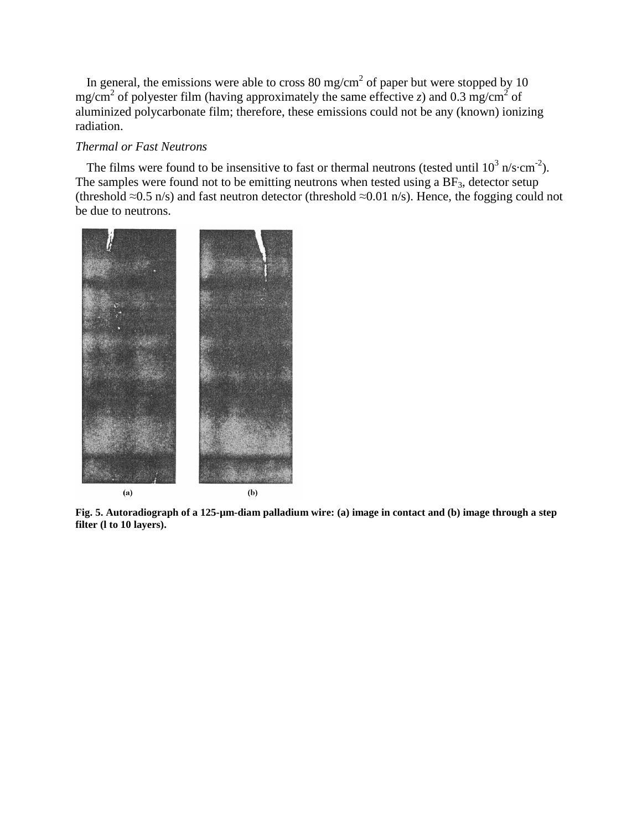In general, the emissions were able to cross 80 mg/cm<sup>2</sup> of paper but were stopped by 10 mg/cm<sup>2</sup> of polyester film (having approximately the same effective *z*) and 0.3 mg/cm<sup>2</sup> of aluminized polycarbonate film; therefore, these emissions could not be any (known) ionizing radiation.

#### *Thermal or Fast Neutrons*

The films were found to be insensitive to fast or thermal neutrons (tested until  $10^3$  n/s·cm<sup>-2</sup>). The samples were found not to be emitting neutrons when tested using a  $BF_3$ , detector setup (threshold ≈0.5 n/s) and fast neutron detector (threshold ≈0.01 n/s). Hence, the fogging could not be due to neutrons.



**Fig. 5. Autoradiograph of a 125-µm-diam palladium wire: (a) image in contact and (b) image through a step filter (l to 10 layers).**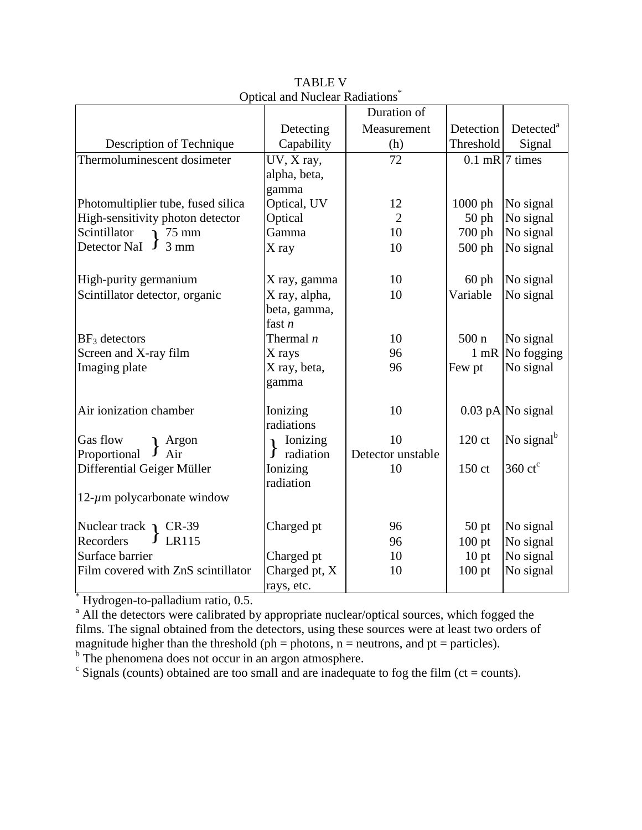|                                          |               | Duration of       |                  |                          |
|------------------------------------------|---------------|-------------------|------------------|--------------------------|
|                                          | Detecting     | Measurement       | Detection        | Detected <sup>a</sup>    |
| Description of Technique                 | Capability    | (h)               | Threshold        | Signal                   |
| Thermoluminescent dosimeter              | UV, X ray,    | 72                |                  | $0.1$ mR $7$ times       |
|                                          | alpha, beta,  |                   |                  |                          |
|                                          | gamma         |                   |                  |                          |
| Photomultiplier tube, fused silica       | Optical, UV   | 12                | 1000 ph          | No signal                |
| High-sensitivity photon detector         | Optical       | $\overline{2}$    | $50$ ph          | No signal                |
| Scintillator<br>$75 \text{ mm}$          | Gamma         | 10                | 700 ph           | No signal                |
| $3 \text{ mm}$<br>Detector NaI<br>$\int$ | X ray         | 10                | $500$ ph         | No signal                |
|                                          |               |                   |                  |                          |
| High-purity germanium                    | X ray, gamma  | 10                | $60$ ph          | No signal                |
| Scintillator detector, organic           | X ray, alpha, | 10                | Variable         | No signal                |
|                                          | beta, gamma,  |                   |                  |                          |
|                                          | fast $n$      |                   |                  |                          |
| $BF_3$ detectors                         | Thermal $n$   | 10                | 500 <sub>n</sub> | No signal                |
| Screen and X-ray film                    | X rays        | 96                | $1$ mR           | No fogging               |
| Imaging plate                            | X ray, beta,  | 96                | Few pt           | No signal                |
|                                          | gamma         |                   |                  |                          |
|                                          |               |                   |                  |                          |
| Air ionization chamber                   | Ionizing      | 10                |                  | $0.03$ pA No signal      |
|                                          | radiations    |                   |                  |                          |
| Gas flow<br>Argon                        | Ionizing      | 10                | 120 ct           | No signal <sup>b</sup>   |
| Proportional<br>Air                      | radiation     | Detector unstable |                  |                          |
| Differential Geiger Müller               | Ionizing      | 10                | 150 ct           | $360 \text{ ct}^{\circ}$ |
|                                          | radiation     |                   |                  |                          |
| $12$ - $\mu$ m polycarbonate window      |               |                   |                  |                          |
|                                          |               |                   |                  |                          |
| Nuclear track $\Gamma$ CR-39             | Charged pt    | 96                | $50$ pt          | No signal                |
| Recorders<br>LR115                       |               | 96                | $100$ pt         | No signal                |
| Surface barrier                          | Charged pt    | 10                | 10 <sub>pt</sub> | No signal                |
| Film covered with ZnS scintillator       | Charged pt, X | 10                | $100$ pt         | No signal                |
|                                          | rays, etc.    |                   |                  |                          |

TABLE V Optical and Nuclear Radiations\*

\* Hydrogen-to-palladium ratio, 0.5.

<sup>a</sup> All the detectors were calibrated by appropriate nuclear/optical sources, which fogged the films. The signal obtained from the detectors, using these sources were at least two orders of magnitude higher than the threshold (ph = photons, n = neutrons, and pt = particles).

<sup>b</sup> The phenomena does not occur in an argon atmosphere.

 $\epsilon$  Signals (counts) obtained are too small and are inadequate to fog the film (ct = counts).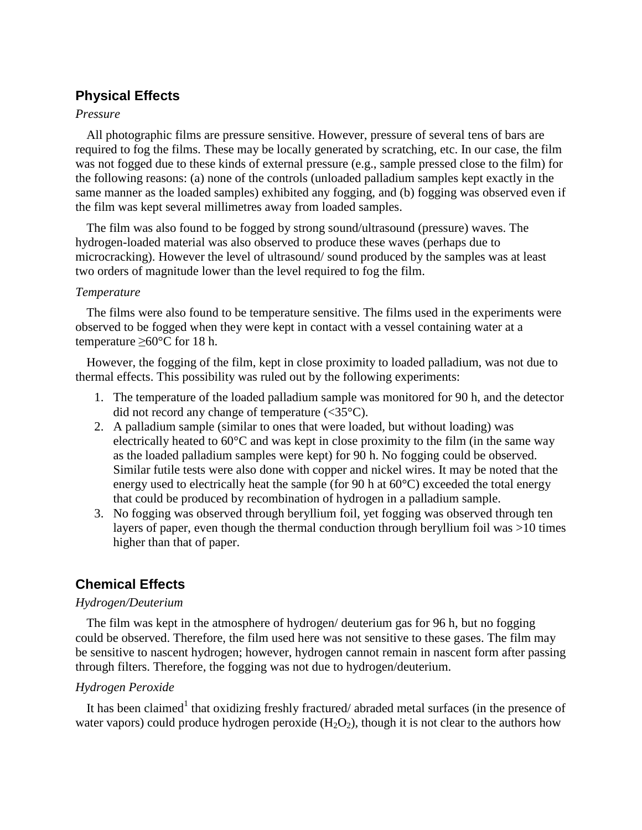# **Physical Effects**

### *Pressure*

All photographic films are pressure sensitive. However, pressure of several tens of bars are required to fog the films. These may be locally generated by scratching, etc. In our case, the film was not fogged due to these kinds of external pressure (e.g., sample pressed close to the film) for the following reasons: (a) none of the controls (unloaded palladium samples kept exactly in the same manner as the loaded samples) exhibited any fogging, and (b) fogging was observed even if the film was kept several millimetres away from loaded samples.

The film was also found to be fogged by strong sound/ultrasound (pressure) waves. The hydrogen-loaded material was also observed to produce these waves (perhaps due to microcracking). However the level of ultrasound/ sound produced by the samples was at least two orders of magnitude lower than the level required to fog the film.

### *Temperature*

The films were also found to be temperature sensitive. The films used in the experiments were observed to be fogged when they were kept in contact with a vessel containing water at a temperature  $>60^{\circ}$ C for 18 h.

However, the fogging of the film, kept in close proximity to loaded palladium, was not due to thermal effects. This possibility was ruled out by the following experiments:

- 1. The temperature of the loaded palladium sample was monitored for 90 h, and the detector did not record any change of temperature  $(<35^{\circ}C$ ).
- 2. A palladium sample (similar to ones that were loaded, but without loading) was electrically heated to  $60^{\circ}$ C and was kept in close proximity to the film (in the same way as the loaded palladium samples were kept) for 90 h. No fogging could be observed. Similar futile tests were also done with copper and nickel wires. It may be noted that the energy used to electrically heat the sample (for 90 h at  $60^{\circ}$ C) exceeded the total energy that could be produced by recombination of hydrogen in a palladium sample.
- 3. No fogging was observed through beryllium foil, yet fogging was observed through ten layers of paper, even though the thermal conduction through beryllium foil was >10 times higher than that of paper.

# **Chemical Effects**

### *Hydrogen/Deuterium*

The film was kept in the atmosphere of hydrogen/ deuterium gas for 96 h, but no fogging could be observed. Therefore, the film used here was not sensitive to these gases. The film may be sensitive to nascent hydrogen; however, hydrogen cannot remain in nascent form after passing through filters. Therefore, the fogging was not due to hydrogen/deuterium.

### *Hydrogen Peroxide*

It has been claimed<sup>1</sup> that oxidizing freshly fractured/abraded metal surfaces (in the presence of water vapors) could produce hydrogen peroxide  $(H_2O_2)$ , though it is not clear to the authors how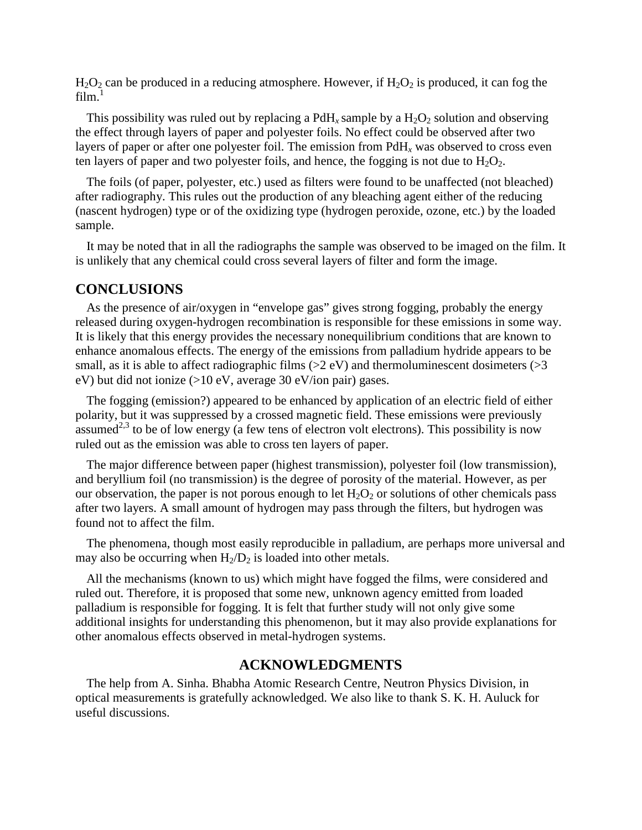$H_2O_2$  can be produced in a reducing atmosphere. However, if  $H_2O_2$  is produced, it can fog the  $film.<sup>1</sup>$ 

This possibility was ruled out by replacing a PdH<sub>x</sub> sample by a  $H_2O_2$  solution and observing the effect through layers of paper and polyester foils. No effect could be observed after two layers of paper or after one polyester foil. The emission from PdH*<sup>x</sup>* was observed to cross even ten layers of paper and two polyester foils, and hence, the fogging is not due to  $H_2O_2$ .

The foils (of paper, polyester, etc.) used as filters were found to be unaffected (not bleached) after radiography. This rules out the production of any bleaching agent either of the reducing (nascent hydrogen) type or of the oxidizing type (hydrogen peroxide, ozone, etc.) by the loaded sample.

It may be noted that in all the radiographs the sample was observed to be imaged on the film. It is unlikely that any chemical could cross several layers of filter and form the image.

### **CONCLUSIONS**

As the presence of air/oxygen in "envelope gas" gives strong fogging, probably the energy released during oxygen-hydrogen recombination is responsible for these emissions in some way. It is likely that this energy provides the necessary nonequilibrium conditions that are known to enhance anomalous effects. The energy of the emissions from palladium hydride appears to be small, as it is able to affect radiographic films  $(>2$  eV) and thermoluminescent dosimeters  $(>3$ eV) but did not ionize (>10 eV, average 30 eV/ion pair) gases.

The fogging (emission?) appeared to be enhanced by application of an electric field of either polarity, but it was suppressed by a crossed magnetic field. These emissions were previously  $\alpha$  assumed<sup>2,3</sup> to be of low energy (a few tens of electron volt electrons). This possibility is now ruled out as the emission was able to cross ten layers of paper.

The major difference between paper (highest transmission), polyester foil (low transmission), and beryllium foil (no transmission) is the degree of porosity of the material. However, as per our observation, the paper is not porous enough to let  $H_2O_2$  or solutions of other chemicals pass after two layers. A small amount of hydrogen may pass through the filters, but hydrogen was found not to affect the film.

The phenomena, though most easily reproducible in palladium, are perhaps more universal and may also be occurring when  $H_2/D_2$  is loaded into other metals.

All the mechanisms (known to us) which might have fogged the films, were considered and ruled out. Therefore, it is proposed that some new, unknown agency emitted from loaded palladium is responsible for fogging. It is felt that further study will not only give some additional insights for understanding this phenomenon, but it may also provide explanations for other anomalous effects observed in metal-hydrogen systems.

### **ACKNOWLEDGMENTS**

The help from A. Sinha. Bhabha Atomic Research Centre, Neutron Physics Division, in optical measurements is gratefully acknowledged. We also like to thank S. K. H. Auluck for useful discussions.